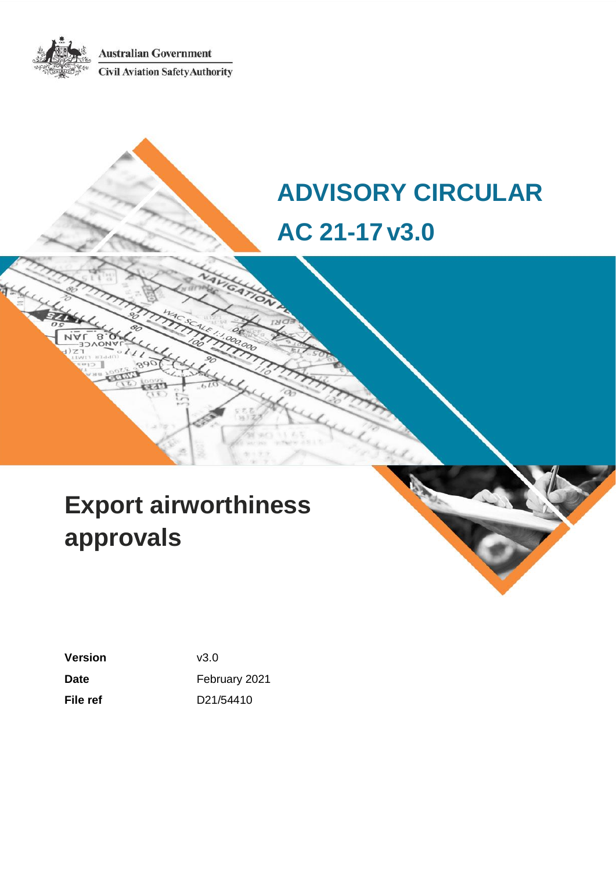**Australian Government Civil Aviation Safety Authority** 

# **ADVISORY CIRCULAR AC 21-17v3.0**

# **Export airworthiness approvals**

**Version** v3.0 Date **Date February 2021 File ref** D21/54410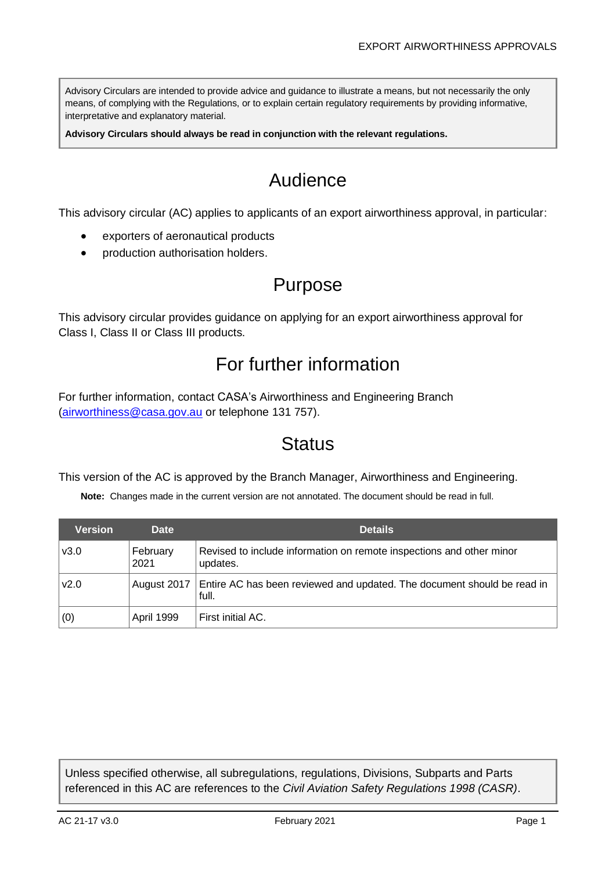Advisory Circulars are intended to provide advice and guidance to illustrate a means, but not necessarily the only means, of complying with the Regulations, or to explain certain regulatory requirements by providing informative, interpretative and explanatory material.

**Advisory Circulars should always be read in conjunction with the relevant regulations.**

# Audience

This advisory circular (AC) applies to applicants of an export airworthiness approval, in particular:

- exporters of aeronautical products
- production authorisation holders.

# Purpose

This advisory circular provides guidance on applying for an export airworthiness approval for Class I, Class II or Class III products.

# For further information

For further information, contact CASA's Airworthiness and Engineering Branch [\(airworthiness@casa.gov.au](mailto:airworthiness@casa.gov.au) or telephone 131 757).

# **Status**

This version of the AC is approved by the Branch Manager, Airworthiness and Engineering.

**Note:** Changes made in the current version are not annotated. The document should be read in full.

| <b>Version</b> | <b>Date</b>      | <b>Details</b>                                                                   |
|----------------|------------------|----------------------------------------------------------------------------------|
| v3.0           | February<br>2021 | Revised to include information on remote inspections and other minor<br>updates. |
| v2.0           | August 2017      | Entire AC has been reviewed and updated. The document should be read in<br>full. |
| (0)            | April 1999       | First initial AC.                                                                |

Unless specified otherwise, all subregulations, regulations, Divisions, Subparts and Parts referenced in this AC are references to the *Civil Aviation Safety Regulations 1998 (CASR)*.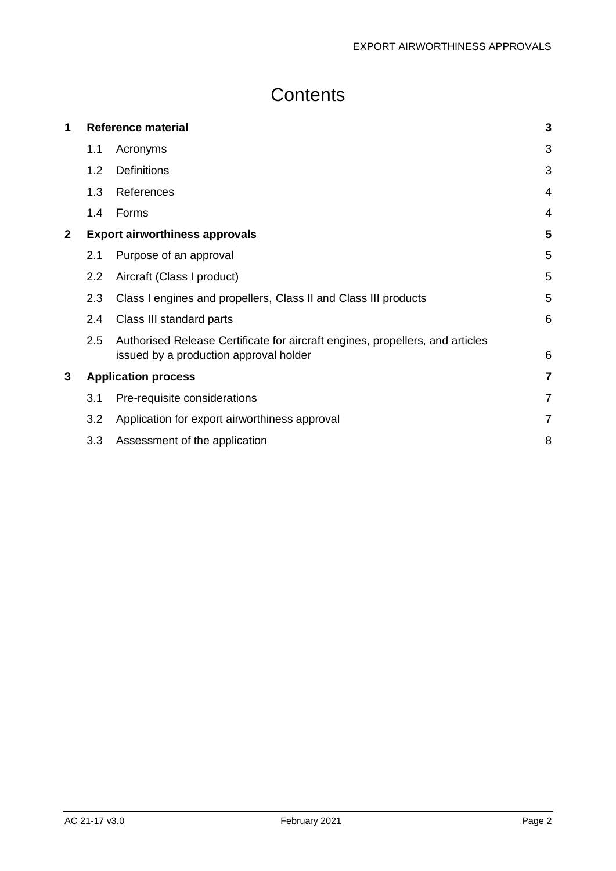# **Contents**

| 1            | <b>Reference material</b> |                                                                                                                         | 3              |
|--------------|---------------------------|-------------------------------------------------------------------------------------------------------------------------|----------------|
|              | 1.1                       | Acronyms                                                                                                                | 3              |
|              | 1.2                       | <b>Definitions</b>                                                                                                      | 3              |
|              | 1.3                       | References                                                                                                              | $\overline{4}$ |
|              | 1.4                       | Forms                                                                                                                   | 4              |
| $\mathbf{2}$ |                           | <b>Export airworthiness approvals</b>                                                                                   | 5              |
|              | 2.1                       | Purpose of an approval                                                                                                  | 5              |
|              | 2.2                       | Aircraft (Class I product)                                                                                              | 5              |
|              | 2.3                       | Class I engines and propellers, Class II and Class III products                                                         | 5              |
|              | 2.4                       | Class III standard parts                                                                                                | 6              |
|              | 2.5                       | Authorised Release Certificate for aircraft engines, propellers, and articles<br>issued by a production approval holder | 6              |
| 3            |                           | <b>Application process</b>                                                                                              | 7              |
|              | 3.1                       | Pre-requisite considerations                                                                                            | $\overline{7}$ |
|              | 3.2                       | Application for export airworthiness approval                                                                           | $\overline{7}$ |
|              | 3.3                       | Assessment of the application                                                                                           | 8              |
|              |                           |                                                                                                                         |                |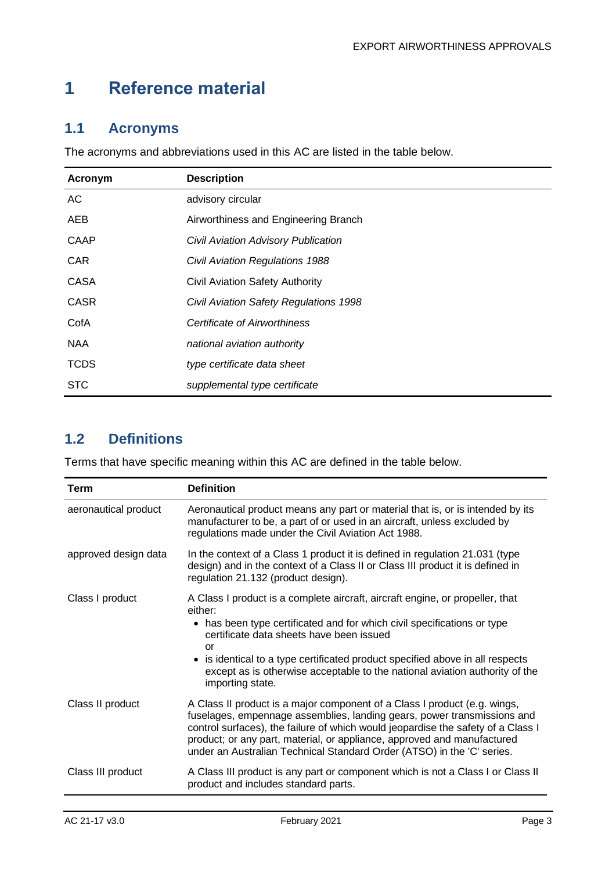# <span id="page-3-0"></span>**1 Reference material**

## <span id="page-3-1"></span>**1.1 Acronyms**

The acronyms and abbreviations used in this AC are listed in the table below.

| Acronym     | <b>Description</b>                     |
|-------------|----------------------------------------|
| AC          | advisory circular                      |
| AEB         | Airworthiness and Engineering Branch   |
| <b>CAAP</b> | Civil Aviation Advisory Publication    |
| <b>CAR</b>  | <b>Civil Aviation Regulations 1988</b> |
| <b>CASA</b> | Civil Aviation Safety Authority        |
| <b>CASR</b> | Civil Aviation Safety Regulations 1998 |
| CofA        | Certificate of Airworthiness           |
| <b>NAA</b>  | national aviation authority            |
| <b>TCDS</b> | type certificate data sheet            |
| <b>STC</b>  | supplemental type certificate          |

## <span id="page-3-2"></span>**1.2 Definitions**

Terms that have specific meaning within this AC are defined in the table below.

| Term                 | <b>Definition</b>                                                                                                                                                                                                                                                                                                                                                                                         |
|----------------------|-----------------------------------------------------------------------------------------------------------------------------------------------------------------------------------------------------------------------------------------------------------------------------------------------------------------------------------------------------------------------------------------------------------|
| aeronautical product | Aeronautical product means any part or material that is, or is intended by its<br>manufacturer to be, a part of or used in an aircraft, unless excluded by<br>regulations made under the Civil Aviation Act 1988.                                                                                                                                                                                         |
| approved design data | In the context of a Class 1 product it is defined in regulation 21.031 (type<br>design) and in the context of a Class II or Class III product it is defined in<br>regulation 21.132 (product design).                                                                                                                                                                                                     |
| Class I product      | A Class I product is a complete aircraft, aircraft engine, or propeller, that<br>either:<br>• has been type certificated and for which civil specifications or type<br>certificate data sheets have been issued<br>or<br>• is identical to a type certificated product specified above in all respects<br>except as is otherwise acceptable to the national aviation authority of the<br>importing state. |
| Class II product     | A Class II product is a major component of a Class I product (e.g. wings,<br>fuselages, empennage assemblies, landing gears, power transmissions and<br>control surfaces), the failure of which would jeopardise the safety of a Class I<br>product; or any part, material, or appliance, approved and manufactured<br>under an Australian Technical Standard Order (ATSO) in the 'C' series.             |
| Class III product    | A Class III product is any part or component which is not a Class I or Class II<br>product and includes standard parts.                                                                                                                                                                                                                                                                                   |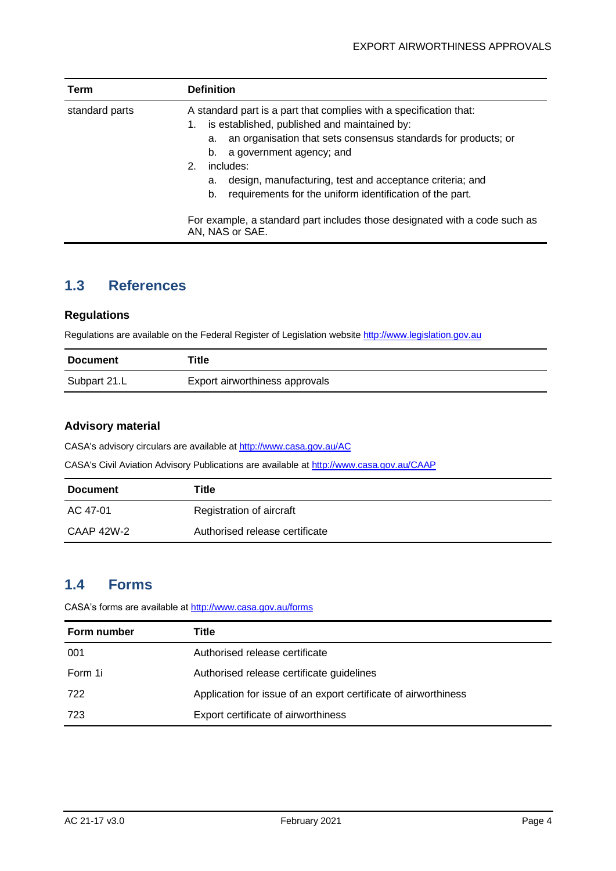| Term           | <b>Definition</b>                                                                                                                                                                                                                                                                                                                                                                                                                                                                   |
|----------------|-------------------------------------------------------------------------------------------------------------------------------------------------------------------------------------------------------------------------------------------------------------------------------------------------------------------------------------------------------------------------------------------------------------------------------------------------------------------------------------|
| standard parts | A standard part is a part that complies with a specification that:<br>is established, published and maintained by:<br>1.<br>an organisation that sets consensus standards for products; or<br>а.<br>a government agency; and<br>b.<br>includes:<br>2 <sup>1</sup><br>design, manufacturing, test and acceptance criteria; and<br>a.<br>requirements for the uniform identification of the part.<br>b.<br>For example, a standard part includes those designated with a code such as |
|                | AN, NAS or SAE.                                                                                                                                                                                                                                                                                                                                                                                                                                                                     |

## <span id="page-4-0"></span>**1.3 References**

#### **Regulations**

Regulations are available on the Federal Register of Legislation website [http://www.legislation.gov.au](http://www.legislation.gov.au/)

| <b>Document</b> | Title                          |
|-----------------|--------------------------------|
| Subpart 21.L    | Export airworthiness approvals |

#### **Advisory material**

CASA's advisory circulars are available at [http://www.casa.gov.au/AC](http://www.casa.gov.au/ACs)

CASA's Civil Aviation Advisory Publications are available at [http://www.casa.gov.au/CAAP](http://www.casa.gov.au/CAAPs)

| <b>Document</b> | Title                          |
|-----------------|--------------------------------|
| AC 47-01        | Registration of aircraft       |
| CAAP 42W-2      | Authorised release certificate |

## <span id="page-4-1"></span>**1.4 Forms**

CASA's forms are available a[t http://www.casa.gov.au/forms](http://www.casa.gov.au/forms)

| Form number | Title                                                           |
|-------------|-----------------------------------------------------------------|
| 001         | Authorised release certificate                                  |
| Form 1i     | Authorised release certificate guidelines                       |
| 722         | Application for issue of an export certificate of airworthiness |
| 723         | Export certificate of airworthiness                             |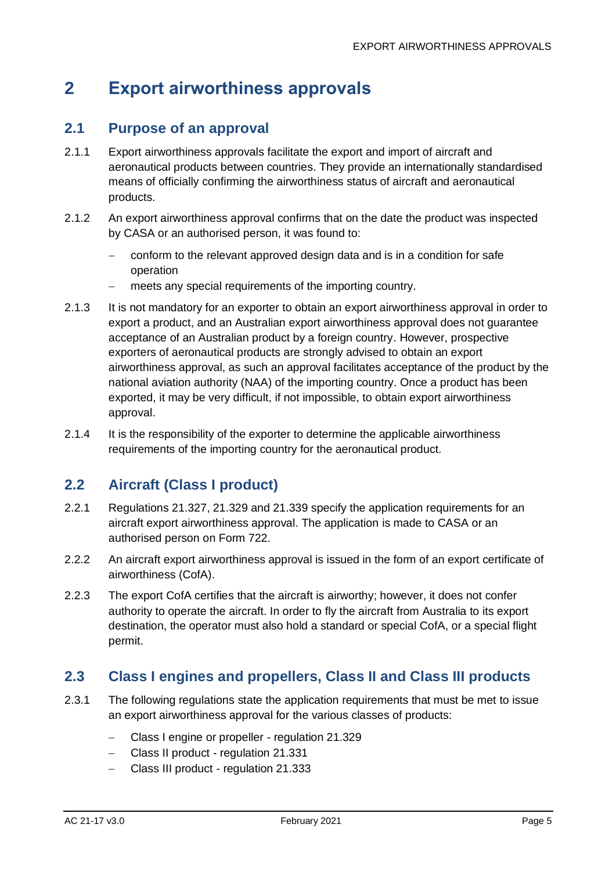# <span id="page-5-0"></span>**2 Export airworthiness approvals**

#### <span id="page-5-1"></span>**2.1 Purpose of an approval**

- 2.1.1 Export airworthiness approvals facilitate the export and import of aircraft and aeronautical products between countries. They provide an internationally standardised means of officially confirming the airworthiness status of aircraft and aeronautical products.
- 2.1.2 An export airworthiness approval confirms that on the date the product was inspected by CASA or an authorised person, it was found to:
	- − conform to the relevant approved design data and is in a condition for safe operation
	- meets any special requirements of the importing country.
- 2.1.3 It is not mandatory for an exporter to obtain an export airworthiness approval in order to export a product, and an Australian export airworthiness approval does not guarantee acceptance of an Australian product by a foreign country. However, prospective exporters of aeronautical products are strongly advised to obtain an export airworthiness approval, as such an approval facilitates acceptance of the product by the national aviation authority (NAA) of the importing country. Once a product has been exported, it may be very difficult, if not impossible, to obtain export airworthiness approval.
- 2.1.4 It is the responsibility of the exporter to determine the applicable airworthiness requirements of the importing country for the aeronautical product.

## <span id="page-5-2"></span>**2.2 Aircraft (Class I product)**

- 2.2.1 Regulations 21.327, 21.329 and 21.339 specify the application requirements for an aircraft export airworthiness approval. The application is made to CASA or an authorised person on Form 722.
- 2.2.2 An aircraft export airworthiness approval is issued in the form of an export certificate of airworthiness (CofA).
- 2.2.3 The export CofA certifies that the aircraft is airworthy; however, it does not confer authority to operate the aircraft. In order to fly the aircraft from Australia to its export destination, the operator must also hold a standard or special CofA, or a special flight permit.

## <span id="page-5-3"></span>**2.3 Class I engines and propellers, Class II and Class III products**

- 2.3.1 The following regulations state the application requirements that must be met to issue an export airworthiness approval for the various classes of products:
	- − Class I engine or propeller regulation 21.329
	- − Class II product regulation 21.331
	- − Class III product regulation 21.333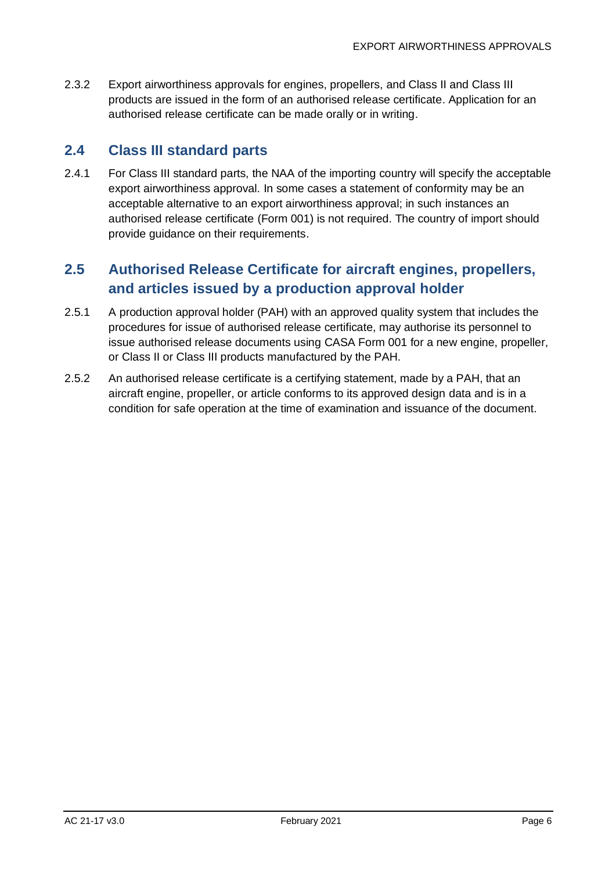2.3.2 Export airworthiness approvals for engines, propellers, and Class II and Class III products are issued in the form of an authorised release certificate. Application for an authorised release certificate can be made orally or in writing.

## <span id="page-6-0"></span>**2.4 Class III standard parts**

2.4.1 For Class III standard parts, the NAA of the importing country will specify the acceptable export airworthiness approval. In some cases a statement of conformity may be an acceptable alternative to an export airworthiness approval; in such instances an authorised release certificate (Form 001) is not required. The country of import should provide guidance on their requirements.

## <span id="page-6-1"></span>**2.5 Authorised Release Certificate for aircraft engines, propellers, and articles issued by a production approval holder**

- 2.5.1 A production approval holder (PAH) with an approved quality system that includes the procedures for issue of authorised release certificate, may authorise its personnel to issue authorised release documents using CASA Form 001 for a new engine, propeller, or Class II or Class III products manufactured by the PAH.
- 2.5.2 An authorised release certificate is a certifying statement, made by a PAH, that an aircraft engine, propeller, or article conforms to its approved design data and is in a condition for safe operation at the time of examination and issuance of the document.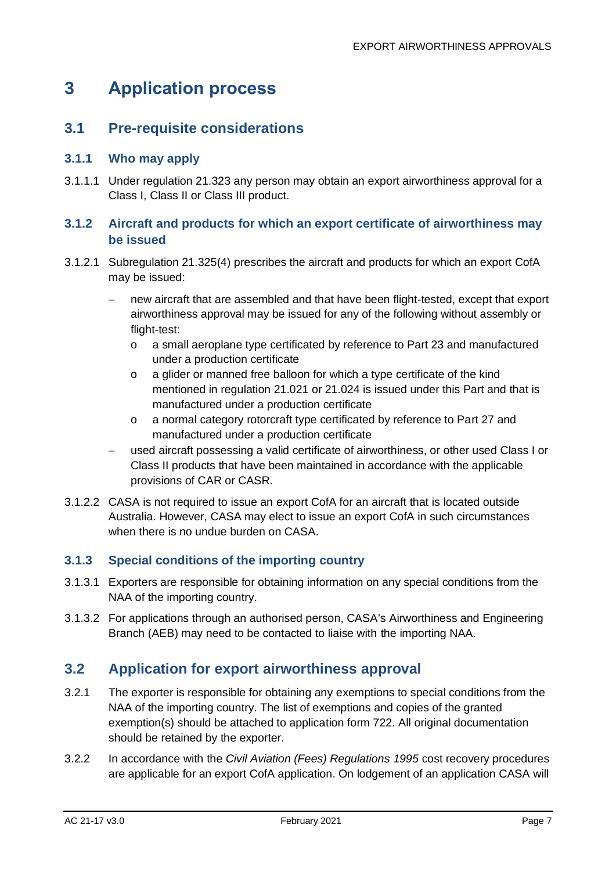# <span id="page-7-0"></span>**3 Application process**

## <span id="page-7-1"></span>**3.1 Pre-requisite considerations**

#### **3.1.1 Who may apply**

3.1.1.1 Under regulation 21.323 any person may obtain an export airworthiness approval for a Class I, Class II or Class III product.

#### **3.1.2 Aircraft and products for which an export certificate of airworthiness may be issued**

- 3.1.2.1 Subregulation 21.325(4) prescribes the aircraft and products for which an export CofA may be issued:
	- new aircraft that are assembled and that have been flight-tested, except that export airworthiness approval may be issued for any of the following without assembly or flight-test:
		- o a small aeroplane type certificated by reference to Part 23 and manufactured under a production certificate
		- o a glider or manned free balloon for which a type certificate of the kind mentioned in regulation 21.021 or 21.024 is issued under this Part and that is manufactured under a production certificate
		- o a normal category rotorcraft type certificated by reference to Part 27 and manufactured under a production certificate
	- − used aircraft possessing a valid certificate of airworthiness, or other used Class I or Class II products that have been maintained in accordance with the applicable provisions of CAR or CASR.
- 3.1.2.2 CASA is not required to issue an export CofA for an aircraft that is located outside Australia. However, CASA may elect to issue an export CofA in such circumstances when there is no undue burden on CASA.

#### **3.1.3 Special conditions of the importing country**

- 3.1.3.1 Exporters are responsible for obtaining information on any special conditions from the NAA of the importing country.
- 3.1.3.2 For applications through an authorised person, CASA's Airworthiness and Engineering Branch (AEB) may need to be contacted to liaise with the importing NAA.

## <span id="page-7-2"></span>**3.2 Application for export airworthiness approval**

- 3.2.1 The exporter is responsible for obtaining any exemptions to special conditions from the NAA of the importing country. The list of exemptions and copies of the granted exemption(s) should be attached to application form 722. All original documentation should be retained by the exporter.
- 3.2.2 In accordance with the *Civil Aviation (Fees) Regulations 1995* cost recovery procedures are applicable for an export CofA application. On lodgement of an application CASA will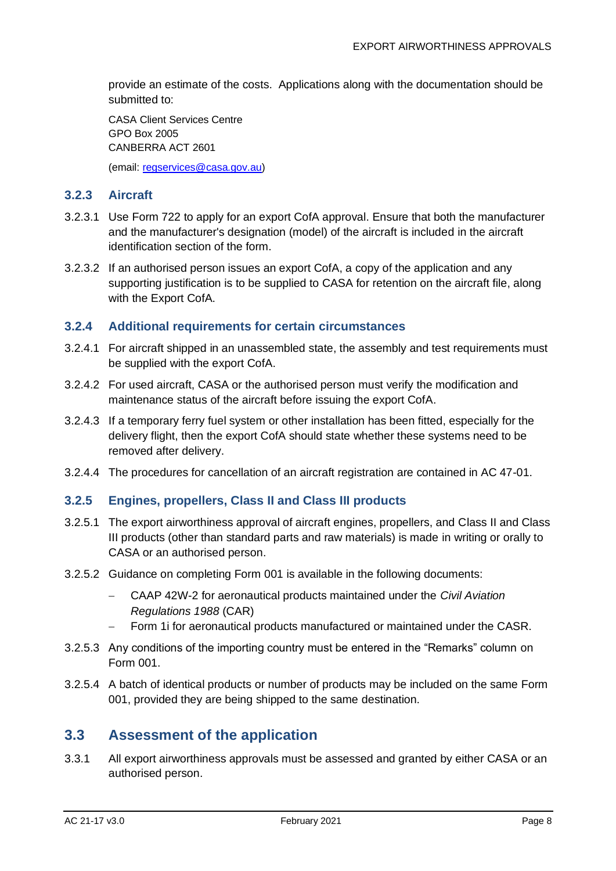provide an estimate of the costs. Applications along with the documentation should be submitted to:

CASA Client Services Centre GPO Box 2005 CANBERRA ACT 2601

(email: [regservices@casa.gov.au\)](mailto:regservices@casa.gov.au)

#### **3.2.3 Aircraft**

- 3.2.3.1 Use Form 722 to apply for an export CofA approval. Ensure that both the manufacturer and the manufacturer's designation (model) of the aircraft is included in the aircraft identification section of the form.
- 3.2.3.2 If an authorised person issues an export CofA, a copy of the application and any supporting justification is to be supplied to CASA for retention on the aircraft file, along with the Export CofA.

#### **3.2.4 Additional requirements for certain circumstances**

- 3.2.4.1 For aircraft shipped in an unassembled state, the assembly and test requirements must be supplied with the export CofA.
- 3.2.4.2 For used aircraft, CASA or the authorised person must verify the modification and maintenance status of the aircraft before issuing the export CofA.
- 3.2.4.3 If a temporary ferry fuel system or other installation has been fitted, especially for the delivery flight, then the export CofA should state whether these systems need to be removed after delivery.
- 3.2.4.4 The procedures for cancellation of an aircraft registration are contained in AC 47-01.

#### **3.2.5 Engines, propellers, Class II and Class III products**

- 3.2.5.1 The export airworthiness approval of aircraft engines, propellers, and Class II and Class III products (other than standard parts and raw materials) is made in writing or orally to CASA or an authorised person.
- 3.2.5.2 Guidance on completing Form 001 is available in the following documents:
	- − CAAP 42W-2 for aeronautical products maintained under the *Civil Aviation Regulations 1988* (CAR)
	- − Form 1i for aeronautical products manufactured or maintained under the CASR.
- 3.2.5.3 Any conditions of the importing country must be entered in the "Remarks" column on Form 001.
- 3.2.5.4 A batch of identical products or number of products may be included on the same Form 001, provided they are being shipped to the same destination.

#### <span id="page-8-0"></span>**3.3 Assessment of the application**

3.3.1 All export airworthiness approvals must be assessed and granted by either CASA or an authorised person.